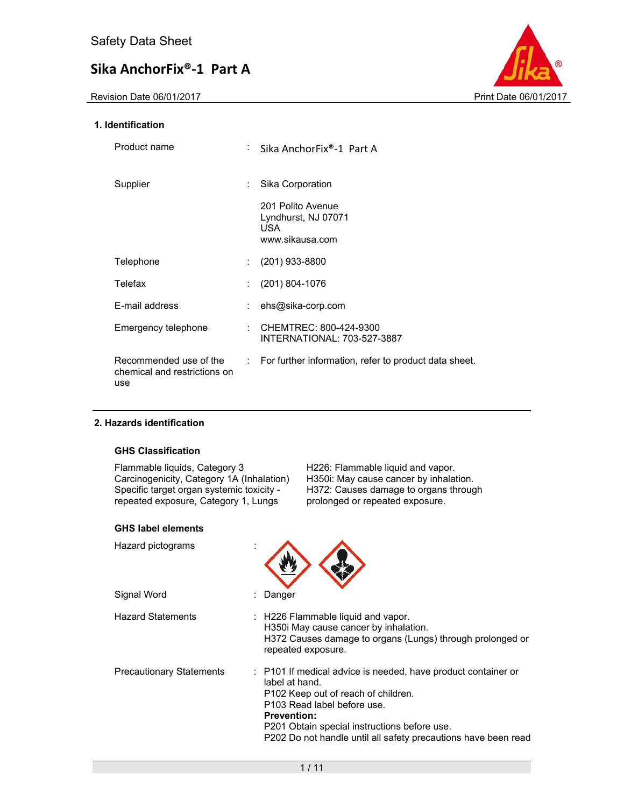Revision Date 06/01/2017 **Print Date 06/01/2017** 



### **1. Identification**

| Product name                                                  |     | Sika AnchorFix®-1 Part A                                                  |
|---------------------------------------------------------------|-----|---------------------------------------------------------------------------|
| Supplier                                                      |     | Sika Corporation                                                          |
|                                                               |     | 201 Polito Avenue<br>Lyndhurst, NJ 07071<br><b>USA</b><br>www.sikausa.com |
| Telephone                                                     | ÷   | $(201)$ 933-8800                                                          |
| Telefax                                                       |     | $(201) 804 - 1076$                                                        |
| E-mail address                                                |     | ehs@sika-corp.com                                                         |
| Emergency telephone                                           |     | CHEMTREC: 800-424-9300<br>INTERNATIONAL: 703-527-3887                     |
| Recommended use of the<br>chemical and restrictions on<br>use | t i | For further information, refer to product data sheet.                     |

### **2. Hazards identification**

#### **GHS Classification**

Flammable liquids, Category 3 H226: Flammable liquid and vapor. Carcinogenicity, Category 1A (Inhalation) H350i: May cause cancer by inhalation. Specific target organ systemic toxicity repeated exposure, Category 1, Lungs

 H372: Causes damage to organs through prolonged or repeated exposure.

### **GHS label elements**

| Hazard pictograms        |                                                                                                                                                                                                                                                                                               |
|--------------------------|-----------------------------------------------------------------------------------------------------------------------------------------------------------------------------------------------------------------------------------------------------------------------------------------------|
| Signal Word              | Danger                                                                                                                                                                                                                                                                                        |
| Hazard Statements        | : H226 Flammable liquid and vapor.<br>H350i May cause cancer by inhalation.<br>H372 Causes damage to organs (Lungs) through prolonged or<br>repeated exposure.                                                                                                                                |
| Precautionary Statements | : P101 If medical advice is needed, have product container or<br>label at hand.<br>P102 Keep out of reach of children.<br>P103 Read label before use.<br><b>Prevention:</b><br>P201 Obtain special instructions before use.<br>P202 Do not handle until all safety precautions have been read |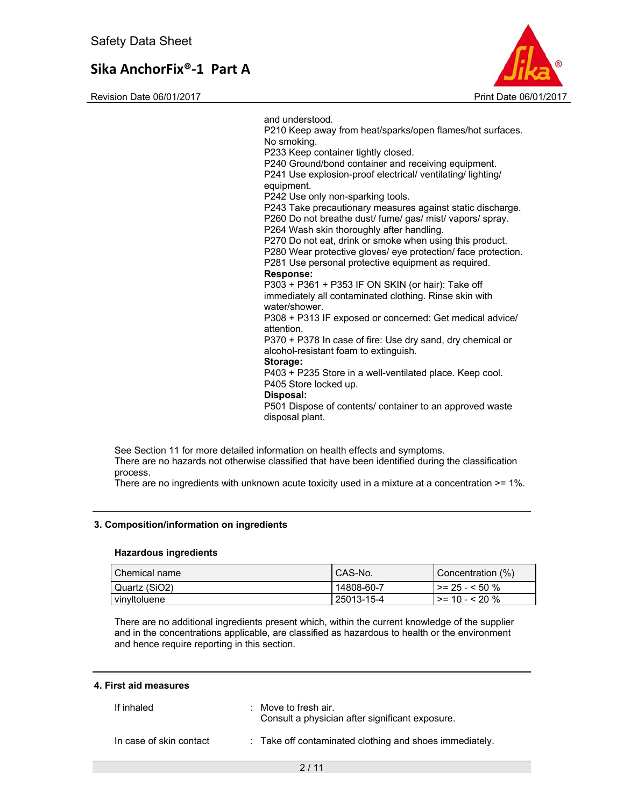Revision Date 06/01/2017 **Print Date 06/01/2017** 



and understood. P210 Keep away from heat/sparks/open flames/hot surfaces. No smoking. P233 Keep container tightly closed. P240 Ground/bond container and receiving equipment. P241 Use explosion-proof electrical/ ventilating/ lighting/ equipment. P242 Use only non-sparking tools. P243 Take precautionary measures against static discharge. P260 Do not breathe dust/ fume/ gas/ mist/ vapors/ spray. P264 Wash skin thoroughly after handling. P270 Do not eat, drink or smoke when using this product. P280 Wear protective gloves/ eye protection/ face protection. P281 Use personal protective equipment as required. **Response:**  P303 + P361 + P353 IF ON SKIN (or hair): Take off immediately all contaminated clothing. Rinse skin with water/shower. P308 + P313 IF exposed or concerned: Get medical advice/ attention. P370 + P378 In case of fire: Use dry sand, dry chemical or alcohol-resistant foam to extinguish. **Storage:**  P403 + P235 Store in a well-ventilated place. Keep cool. P405 Store locked up. **Disposal:**  P501 Dispose of contents/ container to an approved waste disposal plant.

See Section 11 for more detailed information on health effects and symptoms. There are no hazards not otherwise classified that have been identified during the classification process.

There are no ingredients with unknown acute toxicity used in a mixture at a concentration >= 1%.

#### **3. Composition/information on ingredients**

#### **Hazardous ingredients**

| ∣ Chemical name | I CAS-No.  | Concentration (%)           |
|-----------------|------------|-----------------------------|
| Quartz (SiO2)   | 14808-60-7 | $\ge$ = 25 - < 50 %         |
| vinvitoluene    | 25013-15-4 | $\rightarrow$ = 10 - < 20 % |

There are no additional ingredients present which, within the current knowledge of the supplier and in the concentrations applicable, are classified as hazardous to health or the environment and hence require reporting in this section.

#### **4. First aid measures**

| If inhaled              | $\therefore$ Move to fresh air.<br>Consult a physician after significant exposure. |
|-------------------------|------------------------------------------------------------------------------------|
| In case of skin contact | : Take off contaminated clothing and shoes immediately.                            |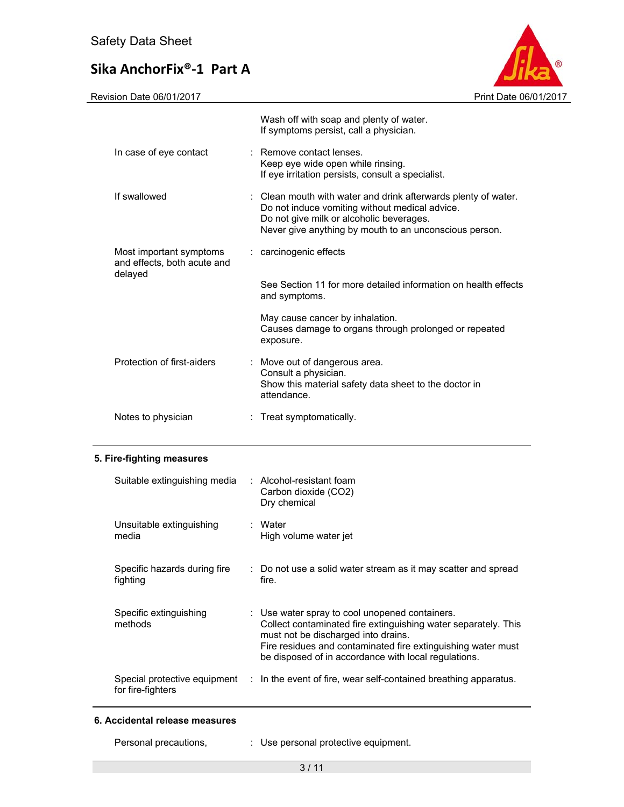Revision Date 06/01/2017 **Print Date 06/01/2017** 

|                                                                   | Wash off with soap and plenty of water.<br>If symptoms persist, call a physician.                                                                                                                                      |
|-------------------------------------------------------------------|------------------------------------------------------------------------------------------------------------------------------------------------------------------------------------------------------------------------|
| In case of eye contact                                            | : Remove contact lenses.<br>Keep eye wide open while rinsing.<br>If eye irritation persists, consult a specialist.                                                                                                     |
| If swallowed                                                      | : Clean mouth with water and drink afterwards plenty of water.<br>Do not induce vomiting without medical advice.<br>Do not give milk or alcoholic beverages.<br>Never give anything by mouth to an unconscious person. |
| Most important symptoms<br>and effects, both acute and<br>delayed | : carcinogenic effects                                                                                                                                                                                                 |
|                                                                   | See Section 11 for more detailed information on health effects<br>and symptoms.                                                                                                                                        |
|                                                                   | May cause cancer by inhalation.<br>Causes damage to organs through prolonged or repeated<br>exposure.                                                                                                                  |
| Protection of first-aiders                                        | : Move out of dangerous area.<br>Consult a physician.<br>Show this material safety data sheet to the doctor in<br>attendance.                                                                                          |
| Notes to physician                                                | Treat symptomatically.                                                                                                                                                                                                 |

### **5. Fire-fighting measures**

| Suitable extinguishing media             | $:$ Alcohol-resistant foam<br>Carbon dioxide (CO2)<br>Dry chemical                                                                                                                                                                                                              |
|------------------------------------------|---------------------------------------------------------------------------------------------------------------------------------------------------------------------------------------------------------------------------------------------------------------------------------|
| Unsuitable extinguishing<br>media        | : Water<br>High volume water jet                                                                                                                                                                                                                                                |
| Specific hazards during fire<br>fighting | : Do not use a solid water stream as it may scatter and spread<br>fire.                                                                                                                                                                                                         |
| Specific extinguishing<br>methods        | : Use water spray to cool unopened containers.<br>Collect contaminated fire extinguishing water separately. This<br>must not be discharged into drains.<br>Fire residues and contaminated fire extinguishing water must<br>be disposed of in accordance with local regulations. |
| for fire-fighters                        | Special protective equipment : In the event of fire, wear self-contained breathing apparatus.                                                                                                                                                                                   |

#### **6. Accidental release measures**

Personal precautions,  $\qquad \qquad : \qquad$  Use personal protective equipment.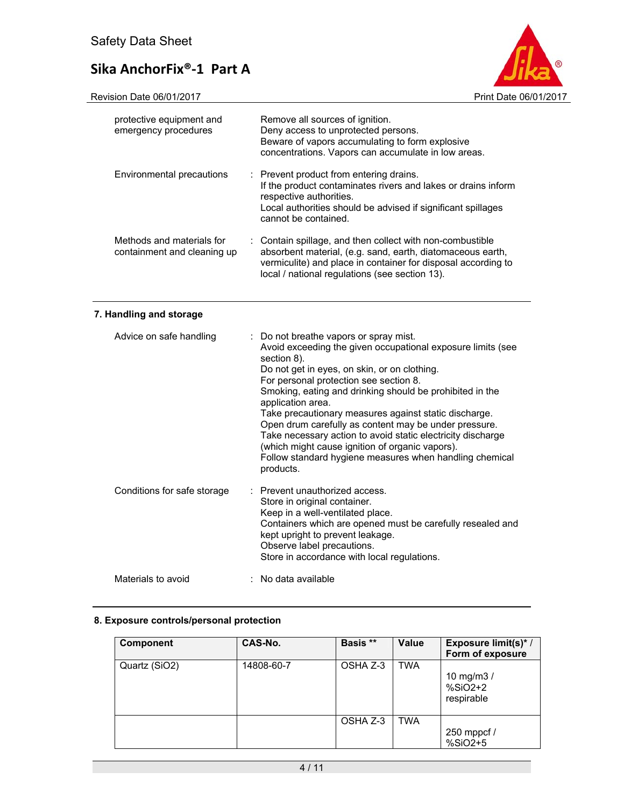

| protective equipment and<br>emergency procedures         | Remove all sources of ignition.<br>Deny access to unprotected persons.<br>Beware of vapors accumulating to form explosive<br>concentrations. Vapors can accumulate in low areas.                                                           |
|----------------------------------------------------------|--------------------------------------------------------------------------------------------------------------------------------------------------------------------------------------------------------------------------------------------|
| Environmental precautions                                | : Prevent product from entering drains.<br>If the product contaminates rivers and lakes or drains inform<br>respective authorities.<br>Local authorities should be advised if significant spillages<br>cannot be contained.                |
| Methods and materials for<br>containment and cleaning up | : Contain spillage, and then collect with non-combustible<br>absorbent material, (e.g. sand, earth, diatomaceous earth,<br>vermiculite) and place in container for disposal according to<br>local / national regulations (see section 13). |

## **7. Handling and storage**

| Advice on safe handling     | : Do not breathe vapors or spray mist.<br>Avoid exceeding the given occupational exposure limits (see<br>section 8).<br>Do not get in eyes, on skin, or on clothing.<br>For personal protection see section 8.<br>Smoking, eating and drinking should be prohibited in the<br>application area.<br>Take precautionary measures against static discharge.<br>Open drum carefully as content may be under pressure.<br>Take necessary action to avoid static electricity discharge<br>(which might cause ignition of organic vapors).<br>Follow standard hygiene measures when handling chemical<br>products. |
|-----------------------------|-------------------------------------------------------------------------------------------------------------------------------------------------------------------------------------------------------------------------------------------------------------------------------------------------------------------------------------------------------------------------------------------------------------------------------------------------------------------------------------------------------------------------------------------------------------------------------------------------------------|
| Conditions for safe storage | : Prevent unauthorized access.<br>Store in original container.<br>Keep in a well-ventilated place.<br>Containers which are opened must be carefully resealed and<br>kept upright to prevent leakage.<br>Observe label precautions.<br>Store in accordance with local regulations.                                                                                                                                                                                                                                                                                                                           |
| Materials to avoid          | : No data available                                                                                                                                                                                                                                                                                                                                                                                                                                                                                                                                                                                         |

### **8. Exposure controls/personal protection**

| <b>Component</b> | CAS-No.    | Basis ** | Value      | Exposure limit(s)*/<br>Form of exposure |
|------------------|------------|----------|------------|-----------------------------------------|
| Quartz (SiO2)    | 14808-60-7 | OSHA Z-3 | <b>TWA</b> | 10 mg/m $3/$<br>%SiO2+2<br>respirable   |
|                  |            | OSHA Z-3 | <b>TWA</b> | 250 mppcf /<br>%SiO2+5                  |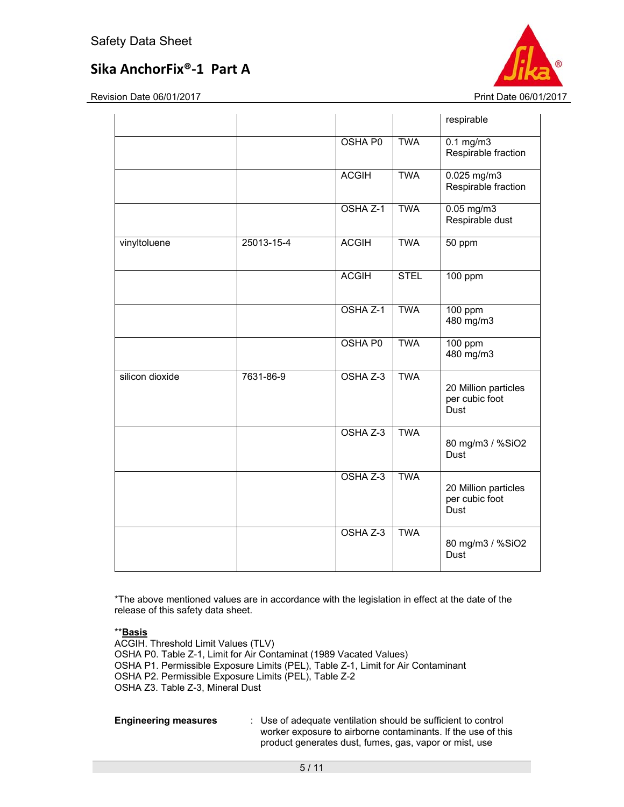Revision Date 06/01/2017 Print Date 06/01/2017

|                 |            |                |             | respirable                                     |
|-----------------|------------|----------------|-------------|------------------------------------------------|
|                 |            | <b>OSHA P0</b> | <b>TWA</b>  | $0.1$ mg/m $3$<br>Respirable fraction          |
|                 |            | <b>ACGIH</b>   | <b>TWA</b>  | $0.025$ mg/m3<br>Respirable fraction           |
|                 |            | OSHA Z-1       | <b>TWA</b>  | $0.05$ mg/m $3$<br>Respirable dust             |
| vinyltoluene    | 25013-15-4 | <b>ACGIH</b>   | <b>TWA</b>  | 50 ppm                                         |
|                 |            | <b>ACGIH</b>   | <b>STEL</b> | $100$ ppm                                      |
|                 |            | OSHA Z-1       | <b>TWA</b>  | 100 ppm<br>480 mg/m3                           |
|                 |            | <b>OSHA P0</b> | <b>TWA</b>  | 100 ppm<br>480 mg/m3                           |
| silicon dioxide | 7631-86-9  | OSHA Z-3       | <b>TWA</b>  | 20 Million particles<br>per cubic foot<br>Dust |
|                 |            | OSHA Z-3       | <b>TWA</b>  | 80 mg/m3 / %SiO2<br>Dust                       |
|                 |            | OSHA Z-3       | <b>TWA</b>  | 20 Million particles<br>per cubic foot<br>Dust |
|                 |            | OSHA Z-3       | <b>TWA</b>  | 80 mg/m3 / %SiO2<br>Dust                       |

\*The above mentioned values are in accordance with the legislation in effect at the date of the release of this safety data sheet.

#### \*\***Basis**

ACGIH. Threshold Limit Values (TLV) OSHA P0. Table Z-1, Limit for Air Contaminat (1989 Vacated Values) OSHA P1. Permissible Exposure Limits (PEL), Table Z-1, Limit for Air Contaminant OSHA P2. Permissible Exposure Limits (PEL), Table Z-2 OSHA Z3. Table Z-3, Mineral Dust

**Engineering measures** : Use of adequate ventilation should be sufficient to control worker exposure to airborne contaminants. If the use of this product generates dust, fumes, gas, vapor or mist, use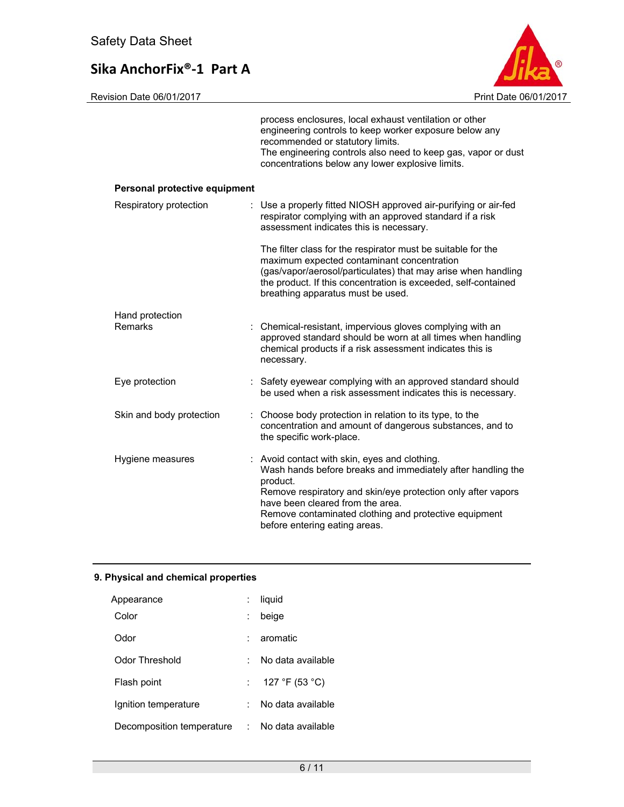

|                               | process enclosures, local exhaust ventilation or other<br>engineering controls to keep worker exposure below any<br>recommended or statutory limits.<br>The engineering controls also need to keep gas, vapor or dust<br>concentrations below any lower explosive limits.                                              |
|-------------------------------|------------------------------------------------------------------------------------------------------------------------------------------------------------------------------------------------------------------------------------------------------------------------------------------------------------------------|
| Personal protective equipment |                                                                                                                                                                                                                                                                                                                        |
| Respiratory protection        | : Use a properly fitted NIOSH approved air-purifying or air-fed<br>respirator complying with an approved standard if a risk<br>assessment indicates this is necessary.                                                                                                                                                 |
|                               | The filter class for the respirator must be suitable for the<br>maximum expected contaminant concentration<br>(gas/vapor/aerosol/particulates) that may arise when handling<br>the product. If this concentration is exceeded, self-contained<br>breathing apparatus must be used.                                     |
| Hand protection<br>Remarks    | : Chemical-resistant, impervious gloves complying with an<br>approved standard should be worn at all times when handling<br>chemical products if a risk assessment indicates this is<br>necessary.                                                                                                                     |
| Eye protection                | : Safety eyewear complying with an approved standard should<br>be used when a risk assessment indicates this is necessary.                                                                                                                                                                                             |
| Skin and body protection      | : Choose body protection in relation to its type, to the<br>concentration and amount of dangerous substances, and to<br>the specific work-place.                                                                                                                                                                       |
| Hygiene measures              | : Avoid contact with skin, eyes and clothing.<br>Wash hands before breaks and immediately after handling the<br>product.<br>Remove respiratory and skin/eye protection only after vapors<br>have been cleared from the area.<br>Remove contaminated clothing and protective equipment<br>before entering eating areas. |

## **9. Physical and chemical properties**

| Appearance                |    | liquid            |
|---------------------------|----|-------------------|
| Color                     |    | beige             |
| Odor                      |    | aromatic          |
| Odor Threshold            |    | No data available |
| Flash point               |    | 127 °F (53 °C)    |
| Ignition temperature      |    | No data available |
| Decomposition temperature | t. | No data available |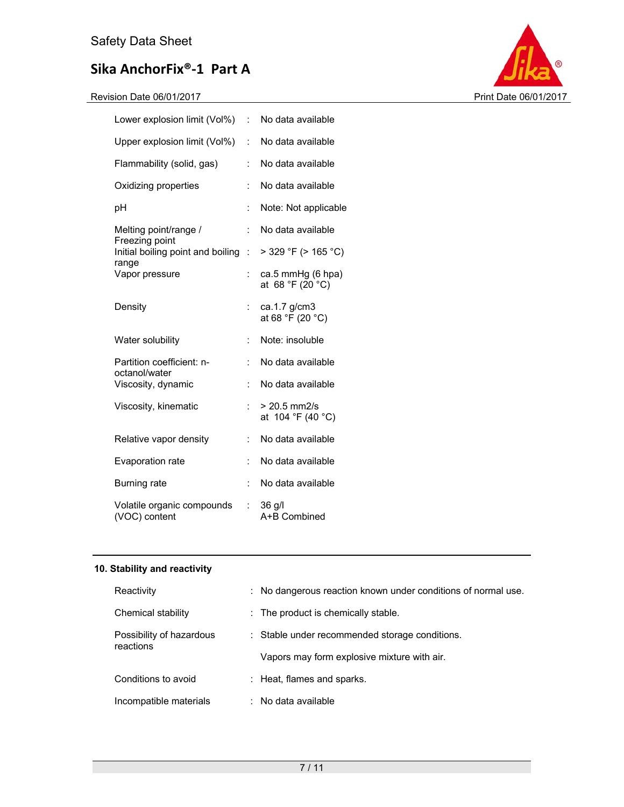| Lower explosion limit (Vol%) :                      |                      | No data available                     |
|-----------------------------------------------------|----------------------|---------------------------------------|
| Upper explosion limit (Vol%)                        | ÷                    | No data available                     |
| Flammability (solid, gas)                           | ÷                    | No data available                     |
| Oxidizing properties                                | $\ddot{\phantom{a}}$ | No data available                     |
| рH                                                  | $\ddot{\cdot}$       | Note: Not applicable                  |
| Melting point/range /                               | ÷                    | No data available                     |
| Freezing point<br>Initial boiling point and boiling | ÷                    | > 329 °F (> 165 °C)                   |
| range<br>Vapor pressure                             | ÷                    | ca.5 mmHg (6 hpa)<br>at 68 °F (20 °C) |
| Density                                             | ÷                    | ca.1.7 g/cm3<br>at 68 °F (20 °C)      |
| Water solubility                                    | ÷.                   | Note: insoluble                       |
| Partition coefficient: n-                           | $\ddot{\cdot}$       | No data available                     |
| octanol/water<br>Viscosity, dynamic                 | ÷                    | No data available                     |
| Viscosity, kinematic                                | ÷                    | $> 20.5$ mm2/s<br>at 104 °F (40 °C)   |
| Relative vapor density                              | ÷                    | No data available                     |
| Evaporation rate                                    | ÷.                   | No data available                     |
| Burning rate                                        | ÷                    | No data available                     |
| Volatile organic compounds<br>(VOC) content         | ÷.                   | 36 g/l<br>A+B Combined                |



## **10. Stability and reactivity**

| Reactivity                            |  | : No dangerous reaction known under conditions of normal use. |
|---------------------------------------|--|---------------------------------------------------------------|
| Chemical stability                    |  | $\therefore$ The product is chemically stable.                |
| Possibility of hazardous<br>reactions |  | : Stable under recommended storage conditions.                |
|                                       |  | Vapors may form explosive mixture with air.                   |
| Conditions to avoid                   |  | : Heat, flames and sparks.                                    |
| Incompatible materials                |  | $\therefore$ No data available                                |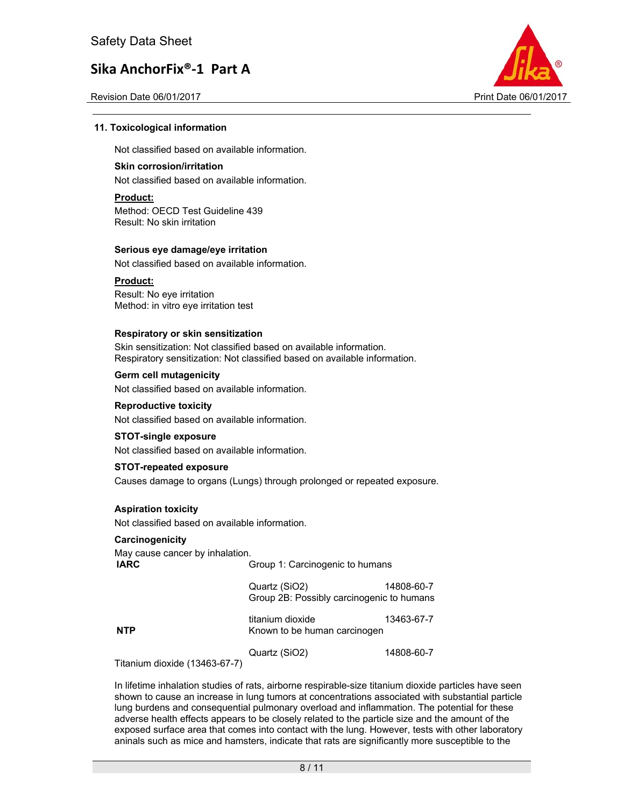Revision Date 06/01/2017 **Print Date 06/01/2017** Print Date 06/01/2017



#### **11. Toxicological information**

Not classified based on available information.

#### **Skin corrosion/irritation**

Not classified based on available information.

#### **Product:**

Method: OECD Test Guideline 439 Result: No skin irritation

#### **Serious eye damage/eye irritation**

Not classified based on available information.

#### **Product:**

Result: No eye irritation Method: in vitro eye irritation test

#### **Respiratory or skin sensitization**

Skin sensitization: Not classified based on available information. Respiratory sensitization: Not classified based on available information.

#### **Germ cell mutagenicity**

Not classified based on available information.

#### **Reproductive toxicity**

Not classified based on available information.

#### **STOT-single exposure**

Not classified based on available information.

#### **STOT-repeated exposure**

Causes damage to organs (Lungs) through prolonged or repeated exposure.

#### **Aspiration toxicity**

Not classified based on available information.

#### **Carcinogenicity**

May cause cancer by inhalation. **IARC** Group 1: Carcinogenic to humans Quartz (SiO2) 14808-60-7

Group 2B: Possibly carcinogenic to humans

titanium dioxide 13463-67-7 **NTP** Known to be human carcinogen

Quartz (SiO2) 14808-60-7

Titanium dioxide (13463-67-7)

In lifetime inhalation studies of rats, airborne respirable-size titanium dioxide particles have seen shown to cause an increase in lung tumors at concentrations associated with substantial particle lung burdens and consequential pulmonary overload and inflammation. The potential for these adverse health effects appears to be closely related to the particle size and the amount of the exposed surface area that comes into contact with the lung. However, tests with other laboratory aninals such as mice and hamsters, indicate that rats are significantly more susceptible to the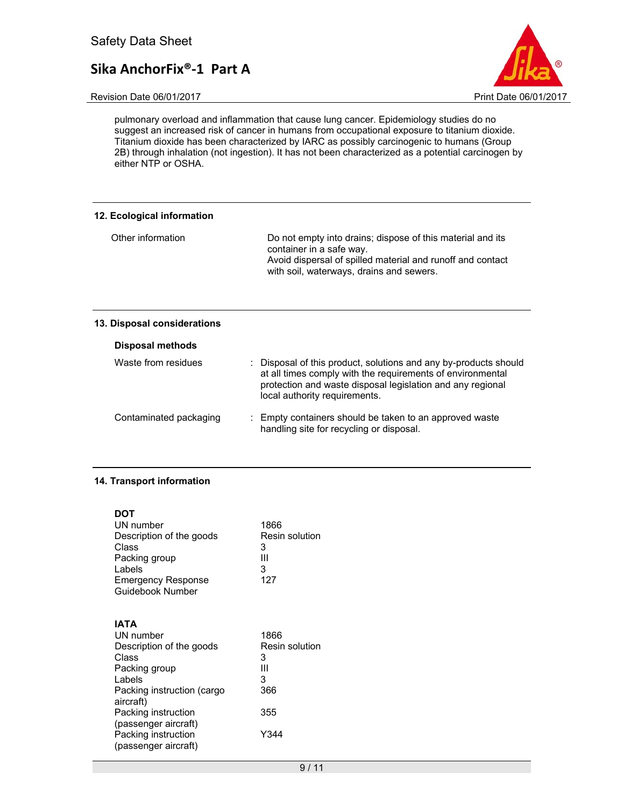Revision Date 06/01/2017 **Print Date 06/01/2017** 



pulmonary overload and inflammation that cause lung cancer. Epidemiology studies do no suggest an increased risk of cancer in humans from occupational exposure to titanium dioxide. Titanium dioxide has been characterized by IARC as possibly carcinogenic to humans (Group 2B) through inhalation (not ingestion). It has not been characterized as a potential carcinogen by either NTP or OSHA.

| 12. Ecological information |                                                                                                                                                                                                  |
|----------------------------|--------------------------------------------------------------------------------------------------------------------------------------------------------------------------------------------------|
| Other information          | Do not empty into drains; dispose of this material and its<br>container in a safe way.<br>Avoid dispersal of spilled material and runoff and contact<br>with soil, waterways, drains and sewers. |

#### **13. Disposal considerations**

| <b>Disposal methods</b> |                                                                                                                                                                                                                               |
|-------------------------|-------------------------------------------------------------------------------------------------------------------------------------------------------------------------------------------------------------------------------|
| Waste from residues     | : Disposal of this product, solutions and any by-products should<br>at all times comply with the requirements of environmental<br>protection and waste disposal legislation and any regional<br>local authority requirements. |
| Contaminated packaging  | : Empty containers should be taken to an approved waste<br>handling site for recycling or disposal.                                                                                                                           |

### **14. Transport information**

| 1866<br>Resin solution<br>3<br>Ш<br>3<br>127 |
|----------------------------------------------|
| 1866<br>Resin solution<br>3<br>Ш<br>3<br>366 |
| 355<br>Y344                                  |
|                                              |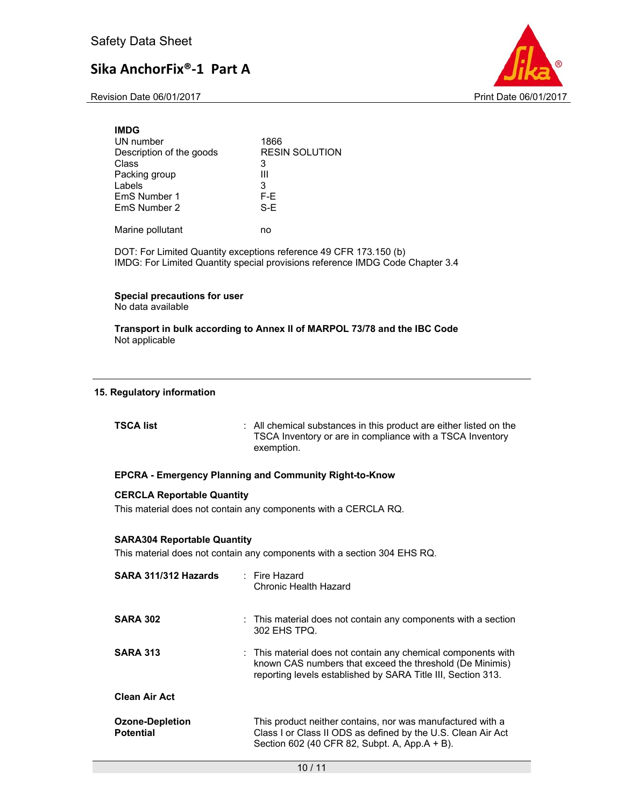Revision Date 06/01/2017 Print Date 06/01/2017



| <b>IMDG</b>              |                       |
|--------------------------|-----------------------|
| UN number                | 1866                  |
| Description of the goods | <b>RESIN SOLUTION</b> |
| Class                    | 3                     |
| Packing group            | Ш                     |
| Labels                   | 3                     |
| EmS Number 1             | F-E.                  |
| EmS Number 2             | S-F                   |
|                          |                       |
| Marine pollutant         | no                    |

DOT: For Limited Quantity exceptions reference 49 CFR 173.150 (b) IMDG: For Limited Quantity special provisions reference IMDG Code Chapter 3.4

### **Special precautions for user**

No data available

**Transport in bulk according to Annex II of MARPOL 73/78 and the IBC Code**  Not applicable

#### **15. Regulatory information**

| TSCA list  | : All chemical substances in this product are either listed on the |
|------------|--------------------------------------------------------------------|
| exemption. | TSCA Inventory or are in compliance with a TSCA Inventory          |

#### **EPCRA - Emergency Planning and Community Right-to-Know**

#### **CERCLA Reportable Quantity**

This material does not contain any components with a CERCLA RQ.

#### **SARA304 Reportable Quantity**

This material does not contain any components with a section 304 EHS RQ.

| SARA 311/312 Hazards                       | $\therefore$ Fire Hazard<br>Chronic Health Hazard                                                                                                                                         |
|--------------------------------------------|-------------------------------------------------------------------------------------------------------------------------------------------------------------------------------------------|
| <b>SARA 302</b>                            | : This material does not contain any components with a section<br>302 EHS TPQ.                                                                                                            |
| <b>SARA 313</b>                            | : This material does not contain any chemical components with<br>known CAS numbers that exceed the threshold (De Minimis)<br>reporting levels established by SARA Title III, Section 313. |
| <b>Clean Air Act</b>                       |                                                                                                                                                                                           |
| <b>Ozone-Depletion</b><br><b>Potential</b> | This product neither contains, nor was manufactured with a<br>Class I or Class II ODS as defined by the U.S. Clean Air Act<br>Section 602 (40 CFR 82, Subpt. A, App.A + B).               |